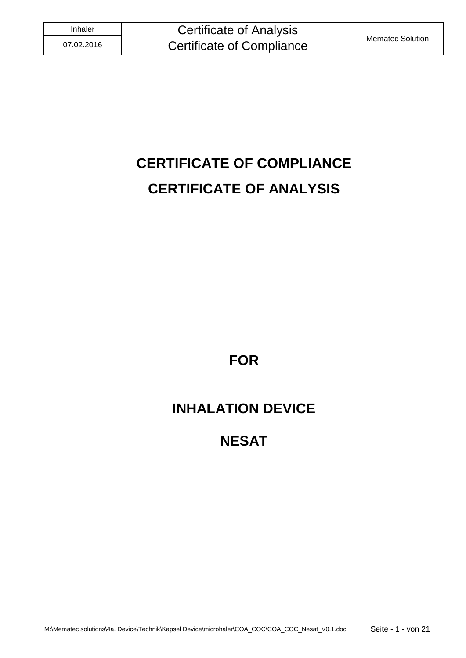# **CERTIFICATE OF COMPLIANCE CERTIFICATE OF ANALYSIS**

**FOR**

# **INHALATION DEVICE**

# **NESAT**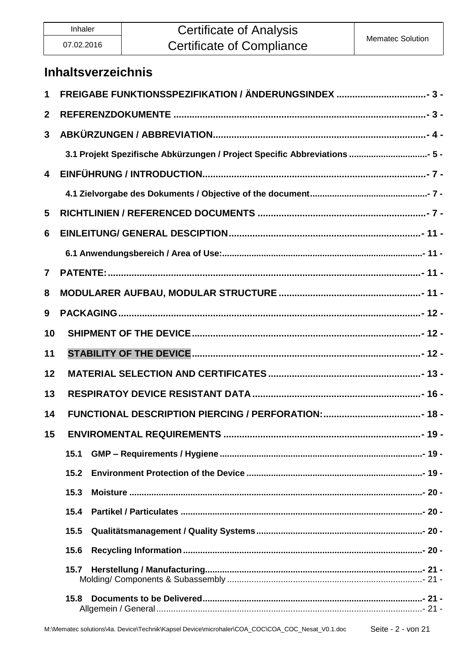# Inhaler **Certificate of Analysis** Certificate of Compliance Mematec Solution

### **Inhaltsverzeichnis**

| 1                       |                                                                           |  |  |
|-------------------------|---------------------------------------------------------------------------|--|--|
| $\mathbf{2}$            |                                                                           |  |  |
| $\mathbf{3}$            |                                                                           |  |  |
|                         | 3.1 Projekt Spezifische Abkürzungen / Project Specific Abbreviations  5 - |  |  |
| $\overline{\mathbf{4}}$ |                                                                           |  |  |
|                         |                                                                           |  |  |
| 5                       |                                                                           |  |  |
| 6                       |                                                                           |  |  |
|                         |                                                                           |  |  |
| $\mathbf{7}$            |                                                                           |  |  |
| 8                       |                                                                           |  |  |
| 9                       |                                                                           |  |  |
| 10                      |                                                                           |  |  |
| 11                      |                                                                           |  |  |
| 12                      |                                                                           |  |  |
| 13                      |                                                                           |  |  |
| 14                      |                                                                           |  |  |
| 15                      | <b>ENVIROMENTAL REQUIREMENTS</b>                                          |  |  |
|                         | 15.1                                                                      |  |  |
|                         | 15.2                                                                      |  |  |
|                         | 15.3                                                                      |  |  |
|                         |                                                                           |  |  |
|                         | 15.5                                                                      |  |  |
|                         | 15.6                                                                      |  |  |
|                         | 15.7                                                                      |  |  |
|                         | 15.8                                                                      |  |  |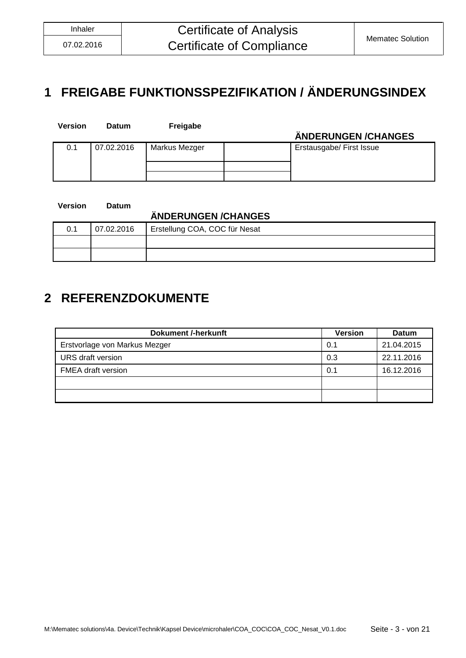# <span id="page-2-0"></span>**1 FREIGABE FUNKTIONSSPEZIFIKATION / ÄNDERUNGSINDEX**

| <b>Version</b> | <b>Datum</b> | Freigabe      | ÄNDERUNGEN/CHANGES       |
|----------------|--------------|---------------|--------------------------|
| 0.1            | 07.02.2016   | Markus Mezger | Erstausgabe/ First Issue |
|                |              |               |                          |

| Version | Datum      |                               |
|---------|------------|-------------------------------|
|         |            | ÄNDERUNGEN / CHANGES          |
| 0.1     | 07.02.2016 | Erstellung COA, COC für Nesat |
|         |            |                               |
|         |            |                               |

# <span id="page-2-1"></span>**2 REFERENZDOKUMENTE**

| <b>Dokument /-herkunft</b>    | <b>Version</b> | <b>Datum</b> |
|-------------------------------|----------------|--------------|
| Erstvorlage von Markus Mezger | 0.1            | 21.04.2015   |
| URS draft version             | 0.3            | 22.11.2016   |
| <b>FMEA draft version</b>     | 0.1            | 16.12.2016   |
|                               |                |              |
|                               |                |              |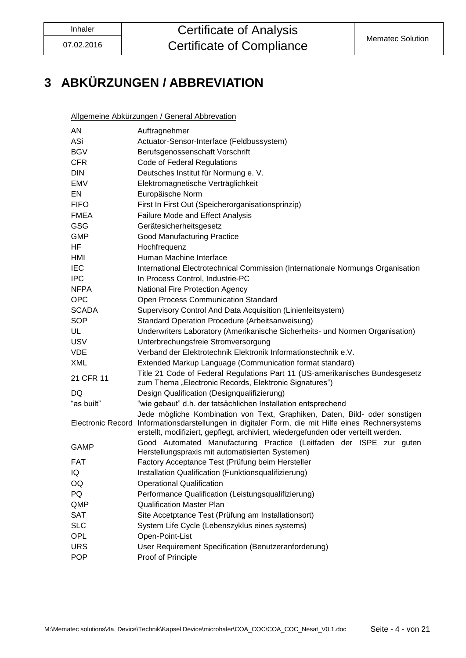# <span id="page-3-0"></span>**3 ABKÜRZUNGEN / ABBREVIATION**

Allgemeine Abkürzungen / General Abbrevation

| ΑN           | Auftragnehmer                                                                                                                                                                                                                                                        |
|--------------|----------------------------------------------------------------------------------------------------------------------------------------------------------------------------------------------------------------------------------------------------------------------|
| ASi          | Actuator-Sensor-Interface (Feldbussystem)                                                                                                                                                                                                                            |
| <b>BGV</b>   | Berufsgenossenschaft Vorschrift                                                                                                                                                                                                                                      |
| <b>CFR</b>   | Code of Federal Regulations                                                                                                                                                                                                                                          |
| DIN          | Deutsches Institut für Normung e. V.                                                                                                                                                                                                                                 |
| EMV          | Elektromagnetische Verträglichkeit                                                                                                                                                                                                                                   |
| EN           | Europäische Norm                                                                                                                                                                                                                                                     |
| <b>FIFO</b>  | First In First Out (Speicherorganisationsprinzip)                                                                                                                                                                                                                    |
| <b>FMEA</b>  | <b>Failure Mode and Effect Analysis</b>                                                                                                                                                                                                                              |
| GSG          | Gerätesicherheitsgesetz                                                                                                                                                                                                                                              |
| <b>GMP</b>   | <b>Good Manufacturing Practice</b>                                                                                                                                                                                                                                   |
| HF           | Hochfrequenz                                                                                                                                                                                                                                                         |
| HMI          | Human Machine Interface                                                                                                                                                                                                                                              |
| <b>IEC</b>   | International Electrotechnical Commission (Internationale Normungs Organisation                                                                                                                                                                                      |
| <b>IPC</b>   | In Process Control, Industrie-PC                                                                                                                                                                                                                                     |
| <b>NFPA</b>  | National Fire Protection Agency                                                                                                                                                                                                                                      |
| <b>OPC</b>   | Open Process Communication Standard                                                                                                                                                                                                                                  |
| <b>SCADA</b> | Supervisory Control And Data Acquisition (Linienleitsystem)                                                                                                                                                                                                          |
| <b>SOP</b>   | Standard Operation Procedure (Arbeitsanweisung)                                                                                                                                                                                                                      |
| UL           | Underwriters Laboratory (Amerikanische Sicherheits- und Normen Organisation)                                                                                                                                                                                         |
| <b>USV</b>   | Unterbrechungsfreie Stromversorgung                                                                                                                                                                                                                                  |
| <b>VDE</b>   | Verband der Elektrotechnik Elektronik Informationstechnik e.V.                                                                                                                                                                                                       |
| <b>XML</b>   | Extended Markup Language (Communication format standard)                                                                                                                                                                                                             |
| 21 CFR 11    | Title 21 Code of Federal Regulations Part 11 (US-amerikanisches Bundesgesetz<br>zum Thema "Electronic Records, Elektronic Signatures")                                                                                                                               |
| DQ           | Design Qualification (Designqualifizierung)                                                                                                                                                                                                                          |
| "as built"   | "wie gebaut" d.h. der tatsächlichen Installation entsprechend                                                                                                                                                                                                        |
|              | Jede mögliche Kombination von Text, Graphiken, Daten, Bild- oder sonstigen<br>Electronic Record Informationsdarstellungen in digitaler Form, die mit Hilfe eines Rechnersystems<br>erstellt, modifiziert, gepflegt, archiviert, wiedergefunden oder verteilt werden. |
| GAMP         | Good Automated Manufacturing Practice (Leitfaden der ISPE zur guten<br>Herstellungspraxis mit automatisierten Systemen)                                                                                                                                              |
| FAT          | Factory Acceptance Test (Prüfung beim Hersteller                                                                                                                                                                                                                     |
| IQ           | Installation Qualification (Funktionsqualifizierung)                                                                                                                                                                                                                 |
| OQ           | <b>Operational Qualification</b>                                                                                                                                                                                                                                     |
| PQ           | Performance Qualification (Leistungsqualifizierung)                                                                                                                                                                                                                  |
| QMP          | <b>Qualification Master Plan</b>                                                                                                                                                                                                                                     |
| <b>SAT</b>   | Site Accetptance Test (Prüfung am Installationsort)                                                                                                                                                                                                                  |
| <b>SLC</b>   | System Life Cycle (Lebenszyklus eines systems)                                                                                                                                                                                                                       |
| OPL          | Open-Point-List                                                                                                                                                                                                                                                      |
| <b>URS</b>   | User Requirement Specification (Benutzeranforderung)                                                                                                                                                                                                                 |
| <b>POP</b>   | Proof of Principle                                                                                                                                                                                                                                                   |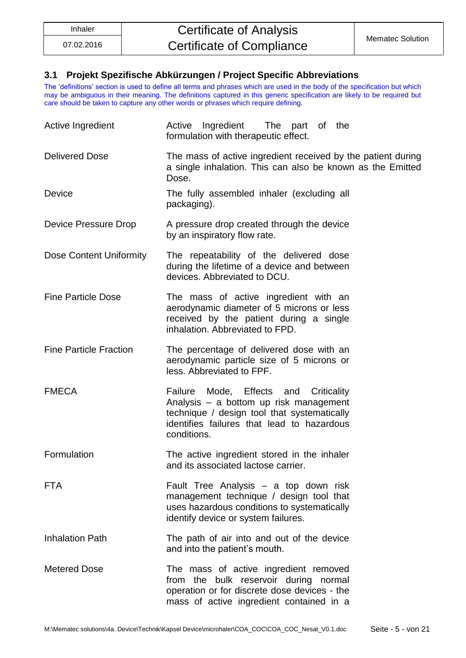### <span id="page-4-0"></span>**3.1 Projekt Spezifische Abkürzungen / Project Specific Abbreviations**

The 'definitions' section is used to define all terms and phrases which are used in the body of the specification but which may be ambiguous in their meaning. The definitions captured in this generic specification are likely to be required but care should be taken to capture any other words or phrases which require defining.

| Active Ingredient             | Active Ingredient<br>The part of the<br>formulation with therapeutic effect.                                                                                                                |  |  |
|-------------------------------|---------------------------------------------------------------------------------------------------------------------------------------------------------------------------------------------|--|--|
| <b>Delivered Dose</b>         | The mass of active ingredient received by the patient during<br>a single inhalation. This can also be known as the Emitted<br>Dose.                                                         |  |  |
| Device                        | The fully assembled inhaler (excluding all<br>packaging).                                                                                                                                   |  |  |
| Device Pressure Drop          | A pressure drop created through the device<br>by an inspiratory flow rate.                                                                                                                  |  |  |
| Dose Content Uniformity       | The repeatability of the delivered dose<br>during the lifetime of a device and between<br>devices. Abbreviated to DCU.                                                                      |  |  |
| <b>Fine Particle Dose</b>     | The mass of active ingredient with an<br>aerodynamic diameter of 5 microns or less<br>received by the patient during a single<br>inhalation. Abbreviated to FPD.                            |  |  |
| <b>Fine Particle Fraction</b> | The percentage of delivered dose with an<br>aerodynamic particle size of 5 microns or<br>less. Abbreviated to FPF.                                                                          |  |  |
| <b>FMECA</b>                  | Failure Mode, Effects and Criticality<br>Analysis - a bottom up risk management<br>technique / design tool that systematically<br>identifies failures that lead to hazardous<br>conditions. |  |  |
| Formulation                   | The active ingredient stored in the inhaler<br>and its associated lactose carrier.                                                                                                          |  |  |
| <b>FTA</b>                    | Fault Tree Analysis - a top down risk<br>management technique / design tool that<br>uses hazardous conditions to systematically<br>identify device or system failures.                      |  |  |
| <b>Inhalation Path</b>        | The path of air into and out of the device<br>and into the patient's mouth.                                                                                                                 |  |  |
| <b>Metered Dose</b>           | The mass of active ingredient removed<br>from the bulk reservoir during normal<br>operation or for discrete dose devices - the<br>mass of active ingredient contained in a                  |  |  |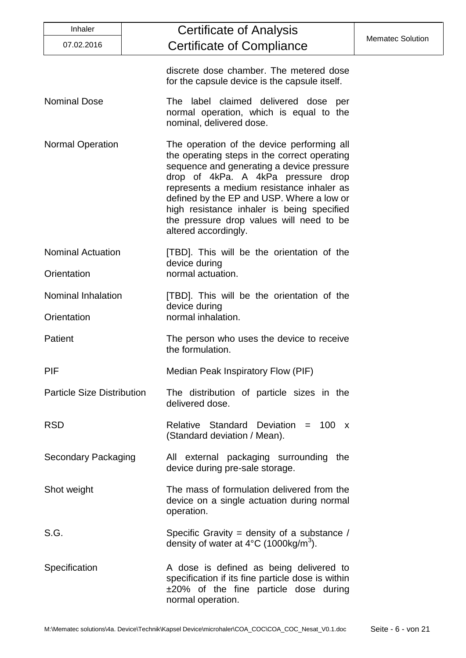| Inhaler                           | <b>Certificate of Analysis</b>                                                                                                                                                                                                                                                                                                                                                            |                         |
|-----------------------------------|-------------------------------------------------------------------------------------------------------------------------------------------------------------------------------------------------------------------------------------------------------------------------------------------------------------------------------------------------------------------------------------------|-------------------------|
| 07.02.2016                        | <b>Certificate of Compliance</b>                                                                                                                                                                                                                                                                                                                                                          | <b>Mematec Solution</b> |
|                                   | discrete dose chamber. The metered dose<br>for the capsule device is the capsule itself.                                                                                                                                                                                                                                                                                                  |                         |
| <b>Nominal Dose</b>               | The label claimed delivered dose per<br>normal operation, which is equal to the<br>nominal, delivered dose.                                                                                                                                                                                                                                                                               |                         |
| <b>Normal Operation</b>           | The operation of the device performing all<br>the operating steps in the correct operating<br>sequence and generating a device pressure<br>drop of 4kPa. A 4kPa pressure drop<br>represents a medium resistance inhaler as<br>defined by the EP and USP. Where a low or<br>high resistance inhaler is being specified<br>the pressure drop values will need to be<br>altered accordingly. |                         |
| <b>Nominal Actuation</b>          | [TBD]. This will be the orientation of the<br>device during                                                                                                                                                                                                                                                                                                                               |                         |
| Orientation                       | normal actuation.                                                                                                                                                                                                                                                                                                                                                                         |                         |
| <b>Nominal Inhalation</b>         | [TBD]. This will be the orientation of the<br>device during                                                                                                                                                                                                                                                                                                                               |                         |
| Orientation                       | normal inhalation.                                                                                                                                                                                                                                                                                                                                                                        |                         |
| Patient                           | The person who uses the device to receive<br>the formulation.                                                                                                                                                                                                                                                                                                                             |                         |
| PIF                               | Median Peak Inspiratory Flow (PIF)                                                                                                                                                                                                                                                                                                                                                        |                         |
| <b>Particle Size Distribution</b> | The distribution of particle sizes in the<br>delivered dose.                                                                                                                                                                                                                                                                                                                              |                         |
| <b>RSD</b>                        | Relative Standard Deviation = $100 \times$<br>(Standard deviation / Mean).                                                                                                                                                                                                                                                                                                                |                         |
| <b>Secondary Packaging</b>        | All external packaging surrounding the<br>device during pre-sale storage.                                                                                                                                                                                                                                                                                                                 |                         |
| Shot weight                       | The mass of formulation delivered from the<br>device on a single actuation during normal<br>operation.                                                                                                                                                                                                                                                                                    |                         |
| S.G.                              | Specific Gravity = density of a substance /<br>density of water at $4^{\circ}$ C (1000kg/m <sup>3</sup> ).                                                                                                                                                                                                                                                                                |                         |
| Specification                     | A dose is defined as being delivered to<br>specification if its fine particle dose is within<br>$\pm 20\%$ of the fine particle dose during<br>normal operation.                                                                                                                                                                                                                          |                         |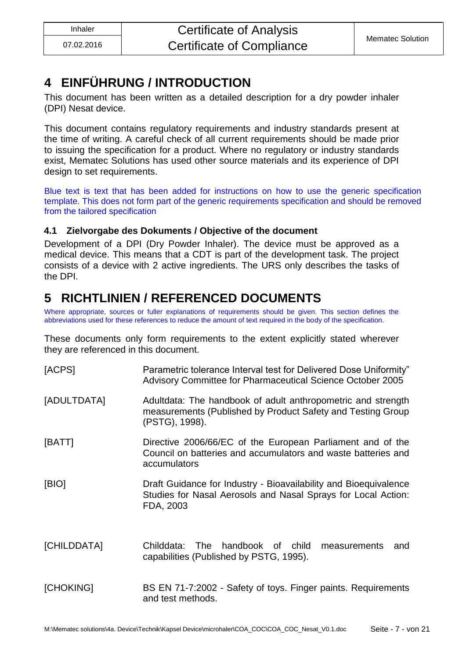# <span id="page-6-0"></span>**4 EINFÜHRUNG / INTRODUCTION**

This document has been written as a detailed description for a dry powder inhaler (DPI) Nesat device.

This document contains regulatory requirements and industry standards present at the time of writing. A careful check of all current requirements should be made prior to issuing the specification for a product. Where no regulatory or industry standards exist, Mematec Solutions has used other source materials and its experience of DPI design to set requirements.

Blue text is text that has been added for instructions on how to use the generic specification template. This does not form part of the generic requirements specification and should be removed from the tailored specification

### <span id="page-6-1"></span>**4.1 Zielvorgabe des Dokuments / Objective of the document**

Development of a DPI (Dry Powder Inhaler). The device must be approved as a medical device. This means that a CDT is part of the development task. The project consists of a device with 2 active ingredients. The URS only describes the tasks of the DPI.

# <span id="page-6-2"></span>**5 RICHTLINIEN / REFERENCED DOCUMENTS**

Where appropriate, sources or fuller explanations of requirements should be given. This section defines the abbreviations used for these references to reduce the amount of text required in the body of the specification.

These documents only form requirements to the extent explicitly stated wherever they are referenced in this document.

| [ACPS]      | Parametric tolerance Interval test for Delivered Dose Uniformity"<br>Advisory Committee for Pharmaceutical Science October 2005                |  |
|-------------|------------------------------------------------------------------------------------------------------------------------------------------------|--|
| [ADULTDATA] | Adultdata: The handbook of adult anthropometric and strength<br>measurements (Published by Product Safety and Testing Group<br>(PSTG), 1998).  |  |
| [BATT]      | Directive 2006/66/EC of the European Parliament and of the<br>Council on batteries and accumulators and waste batteries and<br>accumulators    |  |
| [BIO]       | Draft Guidance for Industry - Bioavailability and Bioequivalence<br>Studies for Nasal Aerosols and Nasal Sprays for Local Action:<br>FDA, 2003 |  |
| [CHILDDATA] | handbook of child<br>Childdata:<br>The<br>measurements<br>and<br>capabilities (Published by PSTG, 1995).                                       |  |
| [CHOKING]   | BS EN 71-7:2002 - Safety of toys. Finger paints. Requirements<br>and test methods.                                                             |  |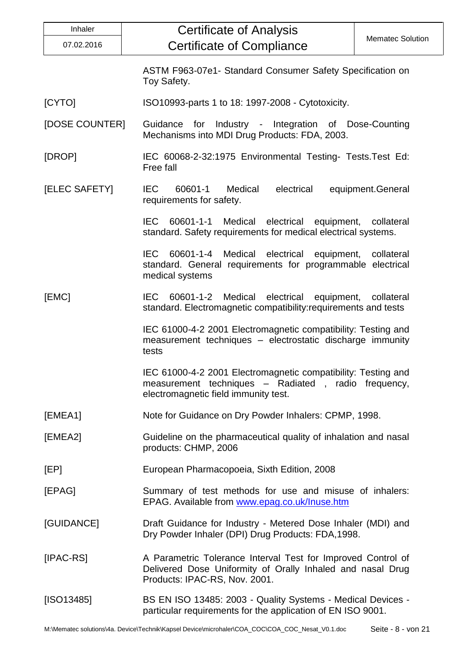| Inhaler                                                                                                                                  | <b>Certificate of Analysis</b>                                                                                                                               |                         |  |
|------------------------------------------------------------------------------------------------------------------------------------------|--------------------------------------------------------------------------------------------------------------------------------------------------------------|-------------------------|--|
| 07.02.2016                                                                                                                               | <b>Certificate of Compliance</b>                                                                                                                             | <b>Mematec Solution</b> |  |
|                                                                                                                                          | ASTM F963-07e1- Standard Consumer Safety Specification on<br>Toy Safety.                                                                                     |                         |  |
| [CYTO]<br>ISO10993-parts 1 to 18: 1997-2008 - Cytotoxicity.                                                                              |                                                                                                                                                              |                         |  |
| [DOSE COUNTER]                                                                                                                           | Guidance for Industry - Integration of Dose-Counting<br>Mechanisms into MDI Drug Products: FDA, 2003.                                                        |                         |  |
| [DROP]                                                                                                                                   | IEC 60068-2-32:1975 Environmental Testing- Tests. Test Ed:<br>Free fall                                                                                      |                         |  |
| [ELEC SAFETY]                                                                                                                            | electrical<br><b>IEC</b><br>60601-1<br>Medical<br>requirements for safety.                                                                                   | equipment.General       |  |
|                                                                                                                                          | <b>IEC</b><br>60601-1-1 Medical electrical equipment, collateral<br>standard. Safety requirements for medical electrical systems.                            |                         |  |
|                                                                                                                                          | IEC 60601-1-4 Medical electrical equipment,<br>standard. General requirements for programmable electrical<br>medical systems                                 | collateral              |  |
| [EMC]                                                                                                                                    | IEC 60601-1-2 Medical electrical equipment, collateral<br>standard. Electromagnetic compatibility: requirements and tests                                    |                         |  |
|                                                                                                                                          | IEC 61000-4-2 2001 Electromagnetic compatibility: Testing and<br>measurement techniques - electrostatic discharge immunity<br>tests                          |                         |  |
|                                                                                                                                          | IEC 61000-4-2 2001 Electromagnetic compatibility: Testing and<br>measurement techniques - Radiated, radio frequency,<br>electromagnetic field immunity test. |                         |  |
| [EMEA1]                                                                                                                                  | Note for Guidance on Dry Powder Inhalers: CPMP, 1998.                                                                                                        |                         |  |
| [EMEA2]<br>Guideline on the pharmaceutical quality of inhalation and nasal<br>products: CHMP, 2006                                       |                                                                                                                                                              |                         |  |
| [EP]                                                                                                                                     | European Pharmacopoeia, Sixth Edition, 2008                                                                                                                  |                         |  |
| [EPAG]                                                                                                                                   | Summary of test methods for use and misuse of inhalers:<br>EPAG. Available from www.epag.co.uk/Inuse.htm                                                     |                         |  |
| [GUIDANCE]<br>Draft Guidance for Industry - Metered Dose Inhaler (MDI) and<br>Dry Powder Inhaler (DPI) Drug Products: FDA, 1998.         |                                                                                                                                                              |                         |  |
| [IPAC-RS]                                                                                                                                | A Parametric Tolerance Interval Test for Improved Control of<br>Delivered Dose Uniformity of Orally Inhaled and nasal Drug<br>Products: IPAC-RS, Nov. 2001.  |                         |  |
| BS EN ISO 13485: 2003 - Quality Systems - Medical Devices -<br>[ SO13485]<br>particular requirements for the application of EN ISO 9001. |                                                                                                                                                              |                         |  |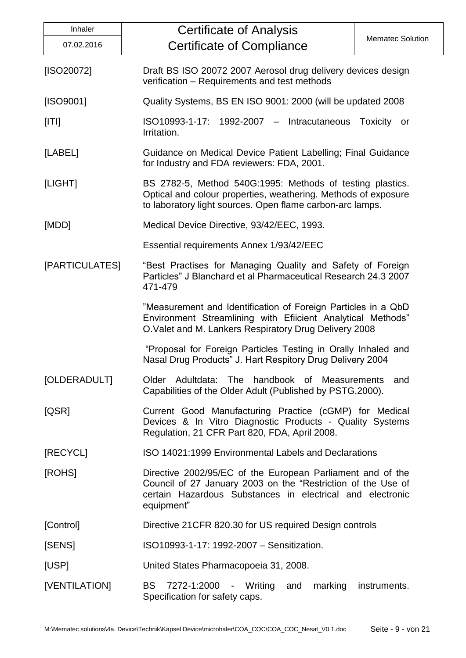| Inhaler                                                                                                                         | <b>Certificate of Analysis</b>                                                                                                                                                                        |  |  |
|---------------------------------------------------------------------------------------------------------------------------------|-------------------------------------------------------------------------------------------------------------------------------------------------------------------------------------------------------|--|--|
| 07.02.2016                                                                                                                      | <b>Mematec Solution</b><br><b>Certificate of Compliance</b>                                                                                                                                           |  |  |
| [ISO20072]                                                                                                                      | Draft BS ISO 20072 2007 Aerosol drug delivery devices design<br>verification - Requirements and test methods                                                                                          |  |  |
| [ISO9001]                                                                                                                       | Quality Systems, BS EN ISO 9001: 2000 (will be updated 2008)                                                                                                                                          |  |  |
| [ T ]<br>ISO10993-1-17: 1992-2007 - Intracutaneous<br>Toxicity or<br>Irritation.                                                |                                                                                                                                                                                                       |  |  |
| [LABEL]                                                                                                                         | Guidance on Medical Device Patient Labelling; Final Guidance<br>for Industry and FDA reviewers: FDA, 2001.                                                                                            |  |  |
| [LIGHT]                                                                                                                         | BS 2782-5, Method 540G:1995: Methods of testing plastics.<br>Optical and colour properties, weathering. Methods of exposure<br>to laboratory light sources. Open flame carbon-arc lamps.              |  |  |
| [MDD]                                                                                                                           | Medical Device Directive, 93/42/EEC, 1993.                                                                                                                                                            |  |  |
|                                                                                                                                 | Essential requirements Annex 1/93/42/EEC                                                                                                                                                              |  |  |
| [PARTICULATES]                                                                                                                  | "Best Practises for Managing Quality and Safety of Foreign<br>Particles" J Blanchard et al Pharmaceutical Research 24.3 2007<br>471-479                                                               |  |  |
|                                                                                                                                 | "Measurement and Identification of Foreign Particles in a QbD<br>Environment Streamlining with Efiicient Analytical Methods"<br>O.Valet and M. Lankers Respiratory Drug Delivery 2008                 |  |  |
|                                                                                                                                 | "Proposal for Foreign Particles Testing in Orally Inhaled and<br>Nasal Drug Products" J. Hart Respitory Drug Delivery 2004                                                                            |  |  |
| [OLDERADULT]<br>Older Adultdata: The handbook of Measurements and<br>Capabilities of the Older Adult (Published by PSTG, 2000). |                                                                                                                                                                                                       |  |  |
| [QSR]                                                                                                                           | Current Good Manufacturing Practice (cGMP) for Medical<br>Devices & In Vitro Diagnostic Products - Quality Systems<br>Regulation, 21 CFR Part 820, FDA, April 2008.                                   |  |  |
| [RECYCL]                                                                                                                        | ISO 14021:1999 Environmental Labels and Declarations                                                                                                                                                  |  |  |
| [ROHS]                                                                                                                          | Directive 2002/95/EC of the European Parliament and of the<br>Council of 27 January 2003 on the "Restriction of the Use of<br>certain Hazardous Substances in electrical and electronic<br>equipment" |  |  |
| [Control]                                                                                                                       | Directive 21 CFR 820.30 for US required Design controls                                                                                                                                               |  |  |
| [SENS]                                                                                                                          | ISO10993-1-17: 1992-2007 - Sensitization.                                                                                                                                                             |  |  |
| [USP]                                                                                                                           | United States Pharmacopoeia 31, 2008.                                                                                                                                                                 |  |  |
| [VENTILATION]<br>BS 7272-1:2000 - Writing and<br>marking<br>instruments.<br>Specification for safety caps.                      |                                                                                                                                                                                                       |  |  |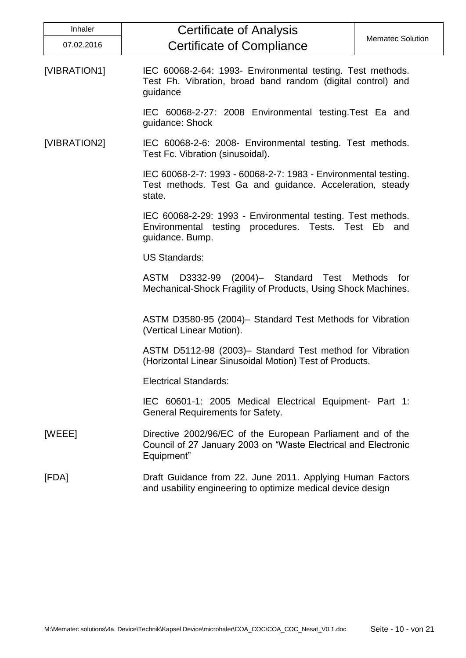| <b>Inhaler</b> | <b>Certificate of Analysis</b>                                                                                                             |                         |  |
|----------------|--------------------------------------------------------------------------------------------------------------------------------------------|-------------------------|--|
| 07.02.2016     | <b>Certificate of Compliance</b>                                                                                                           | <b>Mematec Solution</b> |  |
| [VIBRATION1]   | IEC 60068-2-64: 1993- Environmental testing. Test methods.<br>Test Fh. Vibration, broad band random (digital control) and<br>guidance      |                         |  |
|                | IEC 60068-2-27: 2008 Environmental testing. Test Ea and<br>guidance: Shock                                                                 |                         |  |
| [VIBRATION2]   | IEC 60068-2-6: 2008- Environmental testing. Test methods.<br>Test Fc. Vibration (sinusoidal).                                              |                         |  |
|                | IEC 60068-2-7: 1993 - 60068-2-7: 1983 - Environmental testing.<br>Test methods. Test Ga and guidance. Acceleration, steady<br>state.       |                         |  |
|                | IEC 60068-2-29: 1993 - Environmental testing. Test methods.<br>Environmental testing procedures. Tests. Test Eb and<br>guidance. Bump.     |                         |  |
|                | <b>US Standards:</b>                                                                                                                       |                         |  |
|                | <b>ASTM</b><br>D3332-99 (2004)- Standard Test Methods<br>Mechanical-Shock Fragility of Products, Using Shock Machines.                     | for                     |  |
|                | ASTM D3580-95 (2004)- Standard Test Methods for Vibration<br>(Vertical Linear Motion).                                                     |                         |  |
|                | ASTM D5112-98 (2003)- Standard Test method for Vibration<br>(Horizontal Linear Sinusoidal Motion) Test of Products.                        |                         |  |
|                | <b>Electrical Standards:</b>                                                                                                               |                         |  |
|                | IEC 60601-1: 2005 Medical Electrical Equipment- Part 1:<br><b>General Requirements for Safety.</b>                                         |                         |  |
| [WEEE]         | Directive 2002/96/EC of the European Parliament and of the<br>Council of 27 January 2003 on "Waste Electrical and Electronic<br>Equipment" |                         |  |
| [FDA]          | Draft Guidance from 22. June 2011. Applying Human Factors<br>and usability engineering to optimize medical device design                   |                         |  |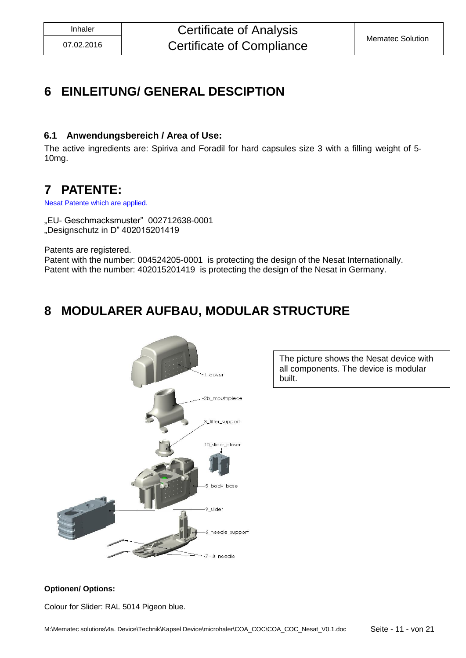# <span id="page-10-0"></span>**6 EINLEITUNG/ GENERAL DESCIPTION**

### <span id="page-10-1"></span>**6.1 Anwendungsbereich / Area of Use:**

The active ingredients are: Spiriva and Foradil for hard capsules size 3 with a filling weight of 5- 10mg.

### <span id="page-10-2"></span>**7 PATENTE:**

Nesat Patente which are applied.

"EU- Geschmacksmuster" 002712638-0001 "Designschutz in D" 402015201419

Patents are registered.

Patent with the number: 004524205-0001 is protecting the design of the Nesat Internationally. Patent with the number: 402015201419 is protecting the design of the Nesat in Germany.

# <span id="page-10-3"></span>**8 MODULARER AUFBAU, MODULAR STRUCTURE**



The picture shows the Nesat device with all components. The device is modular built.

### **Optionen/ Options:**

Colour for Slider: RAL 5014 Pigeon blue.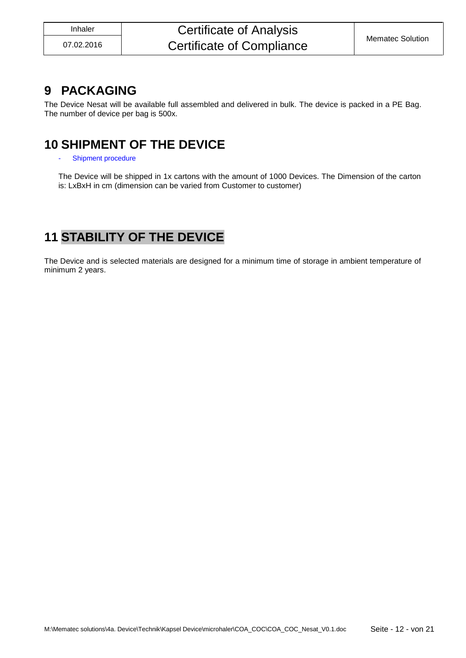### Inhaler **Certificate of Analysis** Certificate of Compliance Mematec Solution

### <span id="page-11-0"></span>**9 PACKAGING**

The Device Nesat will be available full assembled and delivered in bulk. The device is packed in a PE Bag. The number of device per bag is 500x.

### <span id="page-11-1"></span>**10 SHIPMENT OF THE DEVICE**

#### Shipment procedure

The Device will be shipped in 1x cartons with the amount of 1000 Devices. The Dimension of the carton is: LxBxH in cm (dimension can be varied from Customer to customer)

# <span id="page-11-2"></span>**11 STABILITY OF THE DEVICE**

The Device and is selected materials are designed for a minimum time of storage in ambient temperature of minimum 2 years.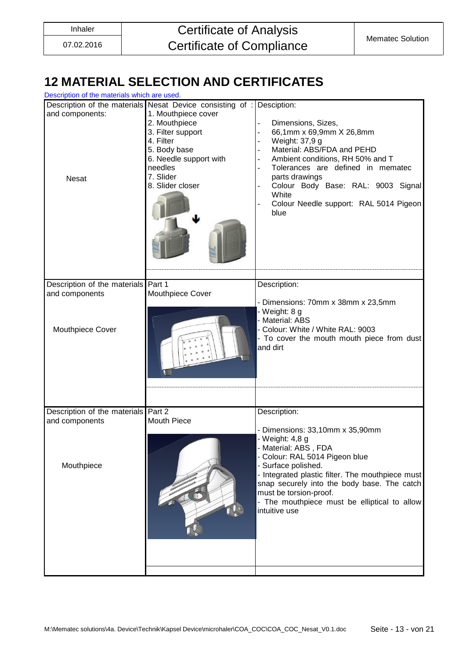# <span id="page-12-0"></span>**12 MATERIAL SELECTION AND CERTIFICATES**

| Description of the materials which are used.                        |                                                                                                                                                                                                                                       |                                                                                                                                                                                                                                                                                                                                                   |  |  |
|---------------------------------------------------------------------|---------------------------------------------------------------------------------------------------------------------------------------------------------------------------------------------------------------------------------------|---------------------------------------------------------------------------------------------------------------------------------------------------------------------------------------------------------------------------------------------------------------------------------------------------------------------------------------------------|--|--|
| and components:<br><b>Nesat</b>                                     | Description of the materials Nesat Device consisting of : Desciption:<br>1. Mouthpiece cover<br>2. Mouthpiece<br>3. Filter support<br>4. Filter<br>5. Body base<br>6. Needle support with<br>needles<br>7. Slider<br>8. Slider closer | Dimensions, Sizes,<br>66,1mm x 69,9mm X 26,8mm<br>Weight: 37,9 g<br>Material: ABS/FDA and PEHD<br>Ambient conditions, RH 50% and T<br>Tolerances are defined in mematec<br>$\overline{a}$<br>parts drawings<br>Colour Body Base: RAL: 9003 Signal<br>White<br>Colour Needle support: RAL 5014 Pigeon<br>blue                                      |  |  |
|                                                                     |                                                                                                                                                                                                                                       |                                                                                                                                                                                                                                                                                                                                                   |  |  |
| Description of the materials Part 1                                 |                                                                                                                                                                                                                                       | Description:                                                                                                                                                                                                                                                                                                                                      |  |  |
| and components<br>Mouthpiece Cover                                  | Mouthpiece Cover                                                                                                                                                                                                                      | - Dimensions: 70mm x 38mm x 23,5mm<br>- Weight: 8 g<br>- Material: ABS<br>- Colour: White / White RAL: 9003<br>- To cover the mouth mouth piece from dust<br>and dirt                                                                                                                                                                             |  |  |
|                                                                     |                                                                                                                                                                                                                                       |                                                                                                                                                                                                                                                                                                                                                   |  |  |
| Description of the materials Part 2<br>and components<br>Mouthpiece | <b>Mouth Piece</b>                                                                                                                                                                                                                    | Description:<br>- Dimensions: 33,10mm x 35,90mm<br>- Weight: 4,8 g<br>- Material: ABS, FDA<br>- Colour: RAL 5014 Pigeon blue<br>- Surface polished.<br>- Integrated plastic filter. The mouthpiece must<br>snap securely into the body base. The catch<br>must be torsion-proof.<br>- The mouthpiece must be elliptical to allow<br>intuitive use |  |  |
|                                                                     |                                                                                                                                                                                                                                       |                                                                                                                                                                                                                                                                                                                                                   |  |  |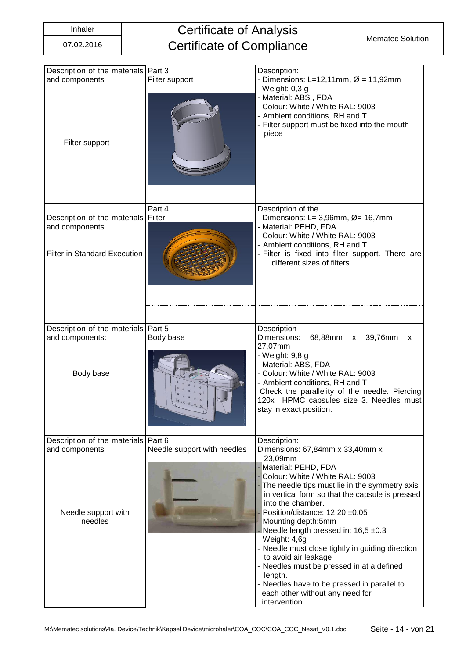# Inhaler **Certificate of Analysis** Certificate of Compliance Mematec Solution

| Description of the materials Part 3<br>and components<br>Filter support          | Filter support              | Description:<br>- Dimensions: L=12,11mm, $\varnothing$ = 11,92mm<br>- Weight: 0,3 g<br>- Material: ABS, FDA<br>- Colour: White / White RAL: 9003<br>- Ambient conditions, RH and T<br>- Filter support must be fixed into the mouth<br>piece                                                                                                                                                                                                                                                                                                                                              |  |  |  |
|----------------------------------------------------------------------------------|-----------------------------|-------------------------------------------------------------------------------------------------------------------------------------------------------------------------------------------------------------------------------------------------------------------------------------------------------------------------------------------------------------------------------------------------------------------------------------------------------------------------------------------------------------------------------------------------------------------------------------------|--|--|--|
| Description of the materials Filter<br>and components                            | Part 4                      | Description of the<br>- Dimensions: L= 3,96mm, $\varnothing$ = 16,7mm<br>- Material: PEHD, FDA<br>- Colour: White / White RAL: 9003                                                                                                                                                                                                                                                                                                                                                                                                                                                       |  |  |  |
| <b>Filter in Standard Execution</b>                                              |                             | - Ambient conditions, RH and T<br>- Filter is fixed into filter support. There are<br>different sizes of filters                                                                                                                                                                                                                                                                                                                                                                                                                                                                          |  |  |  |
|                                                                                  |                             |                                                                                                                                                                                                                                                                                                                                                                                                                                                                                                                                                                                           |  |  |  |
| Description of the materials Part 5<br>and components:<br>Body base<br>Body base |                             | Description<br>Dimensions:<br>68,88mm x<br>39,76mm<br>X<br>27,07mm<br>- Weight: 9,8 g<br>- Material: ABS, FDA<br>- Colour: White / White RAL: 9003<br>- Ambient conditions, RH and T<br>Check the parallelity of the needle. Piercing<br>120x HPMC capsules size 3. Needles must<br>stay in exact position.                                                                                                                                                                                                                                                                               |  |  |  |
| Description of the materials Part 6                                              |                             | Description:                                                                                                                                                                                                                                                                                                                                                                                                                                                                                                                                                                              |  |  |  |
| and components<br>Needle support with<br>needles                                 | Needle support with needles | Dimensions: 67,84mm x 33,40mm x<br>23,09mm<br>- Material: PEHD, FDA<br>Colour: White / White RAL: 9003<br>- The needle tips must lie in the symmetry axis<br>in vertical form so that the capsule is pressed<br>into the chamber.<br>Position/distance: 12.20 ±0.05<br>Mounting depth:5mm<br>Needle length pressed in: 16,5 ±0.3<br>- Weight: 4,6g<br>- Needle must close tightly in guiding direction<br>to avoid air leakage<br>- Needles must be pressed in at a defined<br>length.<br>- Needles have to be pressed in parallel to<br>each other without any need for<br>intervention. |  |  |  |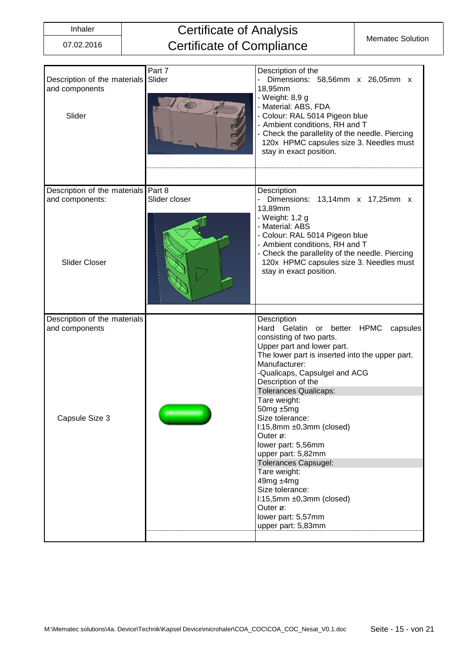# Inhaler **Certificate of Analysis** Certificate of Compliance Mematec Solution

| Description of the materials<br>and components<br>Slider | Part 7<br>Slider | Description of the<br>Dimensions: 58,56mm x 26,05mm x<br>18,95mm<br>- Weight: 8,9 g<br>- Material: ABS, FDA<br>- Colour: RAL 5014 Pigeon blue<br>- Ambient conditions, RH and T<br>Check the parallelity of the needle. Piercing<br>120x HPMC capsules size 3. Needles must<br>stay in exact position.                                                                                                                                                                                                                                                                                      |
|----------------------------------------------------------|------------------|---------------------------------------------------------------------------------------------------------------------------------------------------------------------------------------------------------------------------------------------------------------------------------------------------------------------------------------------------------------------------------------------------------------------------------------------------------------------------------------------------------------------------------------------------------------------------------------------|
| Description of the materials                             | Part 8           | Description                                                                                                                                                                                                                                                                                                                                                                                                                                                                                                                                                                                 |
| and components:<br><b>Slider Closer</b>                  | Slider closer    | Dimensions: 13,14mm x 17,25mm x<br>13,89mm<br>- Weight: 1,2 g<br>- Material: ABS<br>- Colour: RAL 5014 Pigeon blue<br>- Ambient conditions, RH and T<br>- Check the parallelity of the needle. Piercing<br>120x HPMC capsules size 3. Needles must<br>stay in exact position.                                                                                                                                                                                                                                                                                                               |
| Description of the materials                             |                  | Description                                                                                                                                                                                                                                                                                                                                                                                                                                                                                                                                                                                 |
| and components<br>Capsule Size 3                         |                  | Hard Gelatin<br>or better<br><b>HPMC</b><br>capsules<br>consisting of two parts.<br>Upper part and lower part.<br>The lower part is inserted into the upper part.<br>Manufacturer:<br>-Qualicaps, Capsulgel and ACG<br>Description of the<br><b>Tolerances Qualicaps:</b><br>Tare weight:<br>50mg ±5mg<br>Size tolerance:<br>$1:15,8$ mm $±0,3$ mm (closed)<br>Outer ø:<br>lower part: 5,56mm<br>upper part: 5,82mm<br><b>Tolerances Capsugel:</b><br>Tare weight:<br>49mg ±4mg<br>Size tolerance:<br>$1:15,5mm \pm 0,3mm$ (closed)<br>Outer ø:<br>lower part: 5,57mm<br>upper part: 5,83mm |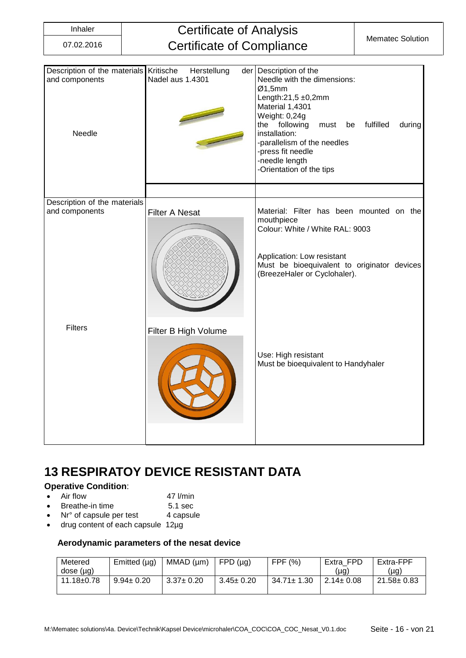### Inhaler **Certificate of Analysis** Certificate of Compliance Mematec Solution

| Description of the materials Kritische<br>and components<br>Needle | Herstellung<br>Nadel aus 1.4301 | der Description of the<br>Needle with the dimensions:<br>Ø1,5mm<br>Length: $21,5 \pm 0,2$ mm<br>Material 1,4301<br>Weight: 0,24g<br>following<br>fulfilled<br>the<br>during<br>must<br>be<br>installation:<br>-parallelism of the needles<br>-press fit needle<br>-needle length<br>-Orientation of the tips |  |  |
|--------------------------------------------------------------------|---------------------------------|--------------------------------------------------------------------------------------------------------------------------------------------------------------------------------------------------------------------------------------------------------------------------------------------------------------|--|--|
|                                                                    |                                 |                                                                                                                                                                                                                                                                                                              |  |  |
| Description of the materials<br>and components                     | <b>Filter A Nesat</b>           | Material: Filter has been mounted on the<br>mouthpiece<br>Colour: White / White RAL: 9003<br>Application: Low resistant<br>Must be bioequivalent to originator devices<br>(BreezeHaler or Cyclohaler).                                                                                                       |  |  |
| <b>Filters</b>                                                     | Filter B High Volume            | Use: High resistant<br>Must be bioequivalent to Handyhaler                                                                                                                                                                                                                                                   |  |  |

# <span id="page-15-0"></span>**13 RESPIRATOY DEVICE RESISTANT DATA**

### **Operative Condition**:

- 
- Air flow 47 l/min
- Breathe-in time 5.1 sec
- Nr° of capsule per test 4 capsule
- drug content of each capsule 12µg

#### **Aerodynamic parameters of the nesat device**

| Metered          | Emitted $(\mu g)$ | MMAD (µm)       | FPD (µq)        | FPF (%)          | Extra FPD       | Extra-FPF        |
|------------------|-------------------|-----------------|-----------------|------------------|-----------------|------------------|
| dose (µg)        |                   |                 |                 |                  | ug)             | (µg)             |
| $11.18 \pm 0.78$ | $9.94 \pm 0.20$   | $3.37 \pm 0.20$ | $3.45 \pm 0.20$ | $34.71 \pm 1.30$ | $2.14 \pm 0.08$ | $21.58 \pm 0.83$ |
|                  |                   |                 |                 |                  |                 |                  |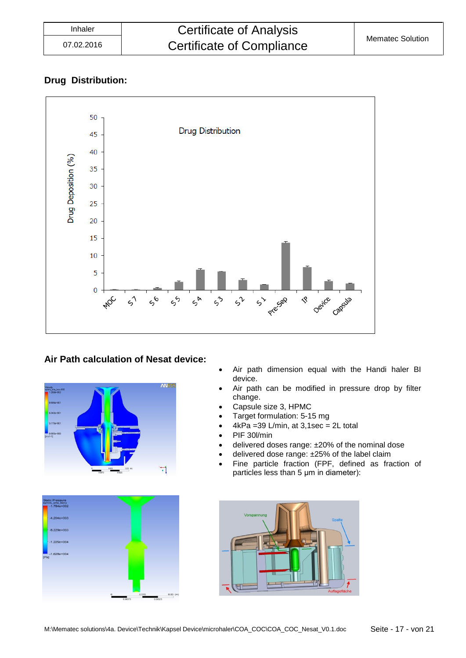### **Drug Distribution:**



### **Air Path calculation of Nesat device:**





- Air path dimension equal with the Handi haler BI device.
- Air path can be modified in pressure drop by filter change.
- Capsule size 3, HPMC
- Target formulation: 5-15 mg
- $4kPa = 39 L/min$ , at  $3,1sec = 2L$  total
- PIF 30l/min
- delivered doses range: ±20% of the nominal dose
- delivered dose range: ±25% of the label claim
- Fine particle fraction (FPF, defined as fraction of particles less than 5 μm in diameter):

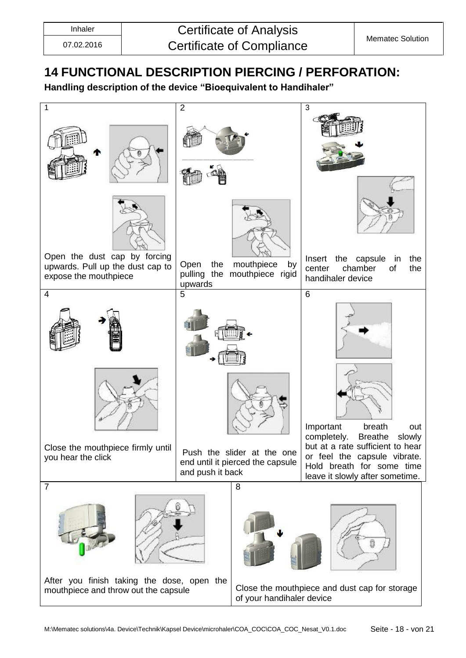# <span id="page-17-0"></span>**14 FUNCTIONAL DESCRIPTION PIERCING / PERFORATION:**

**Handling description of the device "Bioequivalent to Handihaler"**

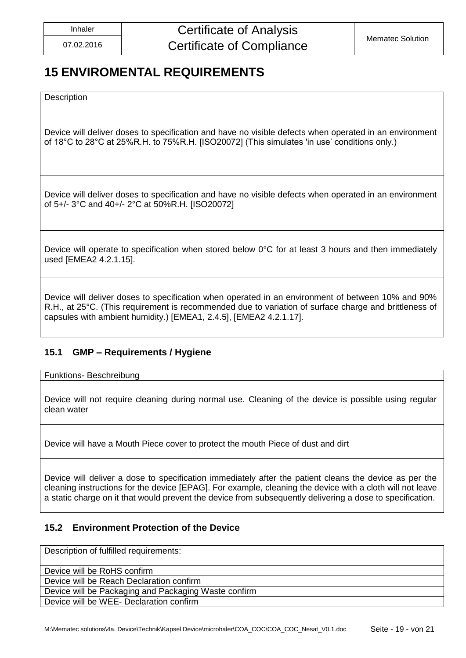# <span id="page-18-0"></span>**15 ENVIROMENTAL REQUIREMENTS**

**Description** 

Device will deliver doses to specification and have no visible defects when operated in an environment of 18°C to 28°C at 25%R.H. to 75%R.H. [ISO20072] (This simulates 'in use' conditions only.)

Device will deliver doses to specification and have no visible defects when operated in an environment of 5+/- 3°C and 40+/- 2°C at 50%R.H. [ISO20072]

Device will operate to specification when stored below 0°C for at least 3 hours and then immediately used [EMEA2 4.2.1.15].

Device will deliver doses to specification when operated in an environment of between 10% and 90% R.H., at 25°C. (This requirement is recommended due to variation of surface charge and brittleness of capsules with ambient humidity.) [EMEA1, 2.4.5], [EMEA2 4.2.1.17].

### <span id="page-18-1"></span>**15.1 GMP – Requirements / Hygiene**

Funktions- Beschreibung

Device will not require cleaning during normal use. Cleaning of the device is possible using regular clean water

Device will have a Mouth Piece cover to protect the mouth Piece of dust and dirt

Device will deliver a dose to specification immediately after the patient cleans the device as per the cleaning instructions for the device [EPAG]. For example, cleaning the device with a cloth will not leave a static charge on it that would prevent the device from subsequently delivering a dose to specification.

### <span id="page-18-2"></span>**15.2 Environment Protection of the Device**

Description of fulfilled requirements:

Device will be RoHS confirm

Device will be Reach Declaration confirm

Device will be Packaging and Packaging Waste confirm

Device will be WEE- Declaration confirm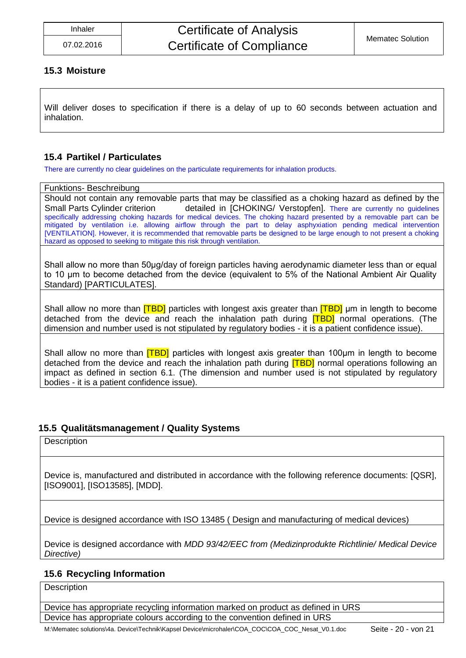#### <span id="page-19-0"></span>**15.3 Moisture**

Will deliver doses to specification if there is a delay of up to 60 seconds between actuation and inhalation.

### <span id="page-19-1"></span>**15.4 Partikel / Particulates**

There are currently no clear guidelines on the particulate requirements for inhalation products.

#### Funktions- Beschreibung

Should not contain any removable parts that may be classified as a choking hazard as defined by the Small Parts Cylinder criterion detailed in [CHOKING/ Verstopfen]. There are currently no quidelines specifically addressing choking hazards for medical devices. The choking hazard presented by a removable part can be mitigated by ventilation i.e. allowing airflow through the part to delay asphyxiation pending medical intervention [VENTILATION]. However, it is recommended that removable parts be designed to be large enough to not present a choking hazard as opposed to seeking to mitigate this risk through ventilation.

Shall allow no more than 50μg/day of foreign particles having aerodynamic diameter less than or equal to 10 μm to become detached from the device (equivalent to 5% of the National Ambient Air Quality Standard) [PARTICULATES].

Shall allow no more than **[TBD]** particles with longest axis greater than **[TBD]** µm in length to become detached from the device and reach the inhalation path during **[TBD]** normal operations. (The dimension and number used is not stipulated by regulatory bodies - it is a patient confidence issue).

Shall allow no more than [TBD] particles with longest axis greater than 100μm in length to become detached from the device and reach the inhalation path during **[TBD]** normal operations following an impact as defined in section 6.1. (The dimension and number used is not stipulated by regulatory bodies - it is a patient confidence issue).

### <span id="page-19-2"></span>**15.5 Qualitätsmanagement / Quality Systems**

**Description** 

Device is, manufactured and distributed in accordance with the following reference documents: [QSR], [ISO9001], [ISO13585], [MDD].

Device is designed accordance with ISO 13485 ( Design and manufacturing of medical devices)

Device is designed accordance with *MDD 93/42/EEC from (Medizinprodukte Richtlinie/ Medical Device Directive)*

### <span id="page-19-3"></span>**15.6 Recycling Information**

**Description** 

Device has appropriate recycling information marked on product as defined in URS Device has appropriate colours according to the convention defined in URS